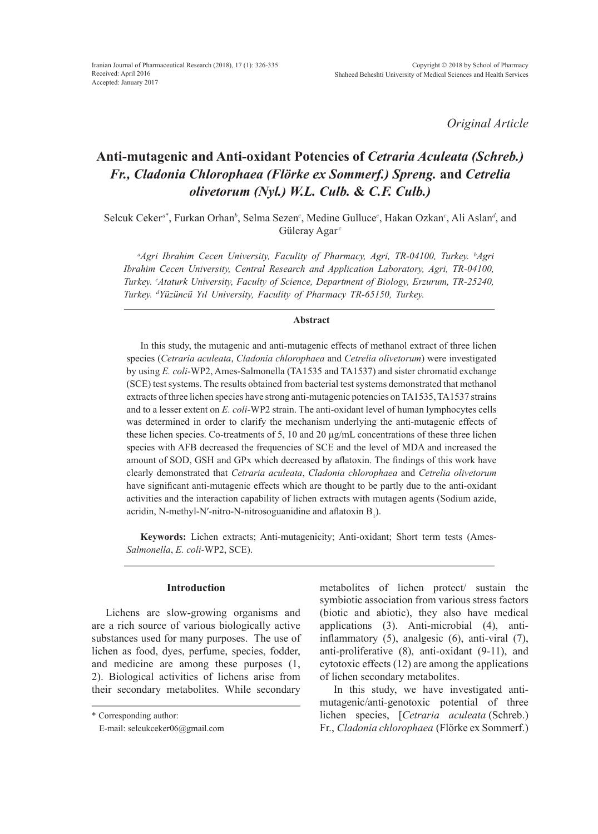*Original Article*

# **Anti-mutagenic and Anti-oxidant Potencies of** *Cetraria Aculeata (Schreb.) Fr., Cladonia Chlorophaea (Flörke ex Sommerf.) Spreng.* **and** *Cetrelia olivetorum (Nyl.) W.L. Culb.* **&** *C.F. Culb.)*

Selcuk Ceker<sup>a\*</sup>, Furkan Orhan<sup>b</sup>, Selma Sezen<sup>c</sup>, Medine Gulluce<sup>c</sup>, Hakan Ozkan<sup>c</sup>, Ali Aslan<sup>d</sup>, and Güleray Agar<sup>c</sup>

*a Agri Ibrahim Cecen University, Faculity of Pharmacy, Agri, TR-04100, Turkey. b Agri Ibrahim Cecen University, Central Research and Application Laboratory, Agri, TR-04100, Turkey. c Ataturk University, Faculty of Science, Department of Biology, Erzurum, TR-25240, Turkey. d Yüzüncü Yıl University, Faculity of Pharmacy TR-65150, Turkey.*

## **Abstract**

In this study, the mutagenic and anti-mutagenic effects of methanol extract of three lichen species (*Cetraria aculeata*, *Cladonia chlorophaea* and *Cetrelia olivetorum*) were investigated by using *E. coli-*WP2, Ames-Salmonella (TA1535 and TA1537) and sister chromatid exchange (SCE) test systems. The results obtained from bacterial test systems demonstrated that methanol extracts of three lichen species have strong anti-mutagenic potencies on TA1535, TA1537 strains and to a lesser extent on *E. coli*-WP2 strain. The anti-oxidant level of human lymphocytes cells was determined in order to clarify the mechanism underlying the anti-mutagenic effects of these lichen species. Co-treatments of 5, 10 and 20 µg/mL concentrations of these three lichen species with AFB decreased the frequencies of SCE and the level of MDA and increased the amount of SOD, GSH and GPx which decreased by aflatoxin. The findings of this work have clearly demonstrated that *Cetraria aculeata*, *Cladonia chlorophaea* and *Cetrelia olivetorum* have significant anti-mutagenic effects which are thought to be partly due to the anti-oxidant activities and the interaction capability of lichen extracts with mutagen agents (Sodium azide, acridin, N-methyl-N'-nitro-N-nitrosoguanidine and aflatoxin  $B_1$ ).

**Keywords:** Lichen extracts; Anti-mutagenicity; Anti-oxidant; Short term tests (Ames-*Salmonella*, *E. coli*-WP2, SCE).

# **Introduction**

Lichens are slow-growing organisms and are a rich source of various biologically active substances used for many purposes. The use of lichen as food, dyes, perfume, species, fodder, and medicine are among these purposes (1, 2). Biological activities of lichens arise from their secondary metabolites. While secondary metabolites of lichen protect/ sustain the symbiotic association from various stress factors (biotic and abiotic), they also have medical applications (3). Anti-microbial (4), antiinflammatory (5), analgesic (6), anti-viral (7), anti-proliferative (8), anti-oxidant (9-11), and cytotoxic effects (12) are among the applications of lichen secondary metabolites.

In this study, we have investigated antimutagenic/anti-genotoxic potential of three lichen species, [*Cetraria aculeata* (Schreb.) Fr., *Cladonia chlorophaea* (Flörke ex Sommerf.)

<sup>\*</sup> Corresponding author:

E-mail: selcukceker06@gmail.com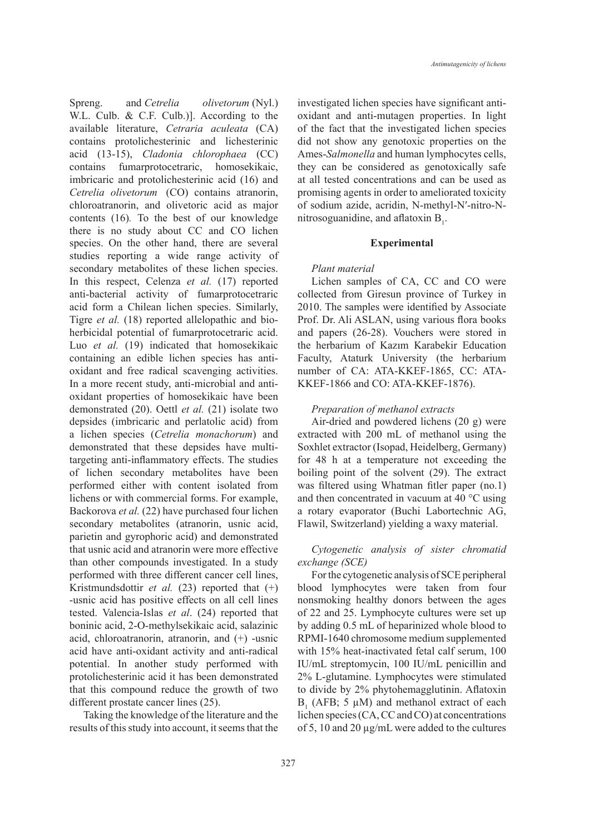Spreng. and *Cetrelia olivetorum* (Nyl.) W.L. Culb. & C.F. Culb.)]. According to the available literature, *Cetraria aculeata* (CA) contains protolichesterinic and lichesterinic acid (13-15), *Cladonia chlorophaea* (CC) contains fumarprotocetraric, homosekikaic, imbricaric and protolichesterinic acid (16) and *Cetrelia olivetorum* (CO) contains atranorin, chloroatranorin, and olivetoric acid as major contents (16)*.* To the best of our knowledge there is no study about CC and CO lichen species. On the other hand, there are several studies reporting a wide range activity of secondary metabolites of these lichen species. In this respect, Celenza *et al.* (17) reported anti-bacterial activity of fumarprotocetraric acid form a Chilean lichen species. Similarly, Tigre *et al.* (18) reported allelopathic and bioherbicidal potential of fumarprotocetraric acid. Luo *et al.* (19) indicated that homosekikaic containing an edible lichen species has antioxidant and free radical scavenging activities. In a more recent study, anti-microbial and antioxidant properties of homosekikaic have been demonstrated (20). Oettl *et al.* (21) isolate two depsides (imbricaric and perlatolic acid) from a lichen species (*Cetrelia monachorum*) and demonstrated that these depsides have multitargeting anti-inflammatory effects. The studies of lichen secondary metabolites have been performed either with content isolated from lichens or with commercial forms. For example, Backorova *et al.* (22) have purchased four lichen secondary metabolites (atranorin, usnic acid, parietin and gyrophoric acid) and demonstrated that usnic acid and atranorin were more effective than other compounds investigated. In a study performed with three different cancer cell lines, Kristmundsdottir *et al.* (23) reported that (+) -usnic acid has positive effects on all cell lines tested. Valencia-Islas *et al*. (24) reported that boninic acid, 2-O-methylsekikaic acid, salazinic acid, chloroatranorin, atranorin, and (+) -usnic acid have anti-oxidant activity and anti-radical potential. In another study performed with protolichesterinic acid it has been demonstrated that this compound reduce the growth of two

Taking the knowledge of the literature and the results of this study into account, it seems that the

different prostate cancer lines (25).

investigated lichen species have significant antioxidant and anti-mutagen properties. In light of the fact that the investigated lichen species did not show any genotoxic properties on the Ames-*Salmonella* and human lymphocytes cells, they can be considered as genotoxically safe at all tested concentrations and can be used as promising agents in order to ameliorated toxicity of sodium azide, acridin, N-methyl-N′-nitro-Nnitrosoguanidine, and aflatoxin  $B_1$ .

#### **Experimental**

#### *Plant material*

Lichen samples of CA, CC and CO were collected from Giresun province of Turkey in 2010. The samples were identified by Associate Prof. Dr. Ali ASLAN, using various flora books and papers (26-28). Vouchers were stored in the herbarium of Kazım Karabekir Education Faculty, Ataturk University (the herbarium number of CA: ATA-KKEF-1865, CC: ATA-KKEF-1866 and CO: ATA-KKEF-1876).

## *Preparation of methanol extracts*

Air-dried and powdered lichens (20 g) were extracted with 200 mL of methanol using the Soxhlet extractor (Isopad, Heidelberg, Germany) for 48 h at a temperature not exceeding the boiling point of the solvent (29). The extract was filtered using Whatman fitler paper (no.1) and then concentrated in vacuum at 40 °C using a rotary evaporator (Buchi Labortechnic AG, Flawil, Switzerland) yielding a waxy material.

#### *Cytogenetic analysis of sister chromatid exchange (SCE)*

For the cytogenetic analysis of SCE peripheral blood lymphocytes were taken from four nonsmoking healthy donors between the ages of 22 and 25. Lymphocyte cultures were set up by adding 0.5 mL of heparinized whole blood to RPMI-1640 chromosome medium supplemented with 15% heat-inactivated fetal calf serum, 100 IU/mL streptomycin, 100 IU/mL penicillin and 2% L-glutamine. Lymphocytes were stimulated to divide by 2% phytohemagglutinin. Aflatoxin  $B_1$  (AFB; 5  $\mu$ M) and methanol extract of each lichen species (CA, CC and CO) at concentrations of 5, 10 and 20 µg/mL were added to the cultures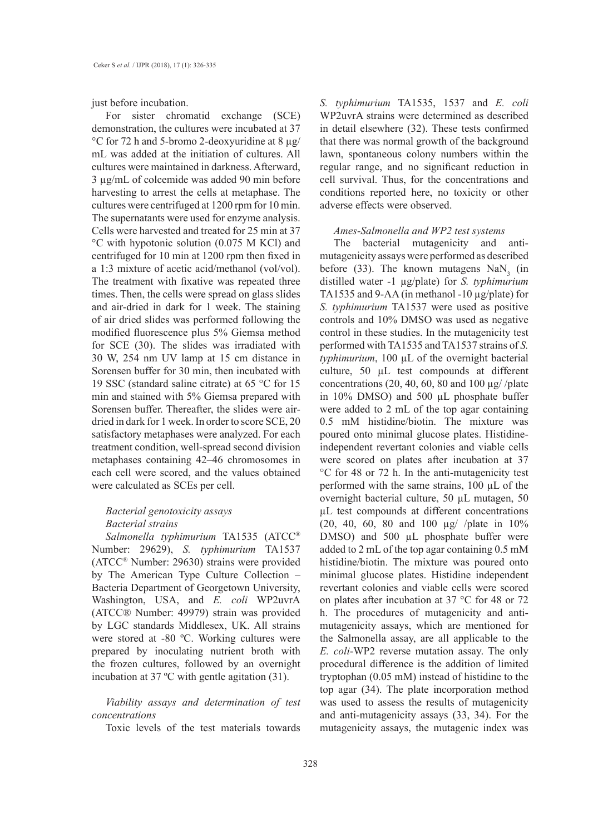just before incubation.

For sister chromatid exchange (SCE) demonstration, the cultures were incubated at 37 °C for 72 h and 5-bromo 2-deoxyuridine at 8 µg/ mL was added at the initiation of cultures. All cultures were maintained in darkness. Afterward, 3 µg/mL of colcemide was added 90 min before harvesting to arrest the cells at metaphase. The cultures were centrifuged at 1200 rpm for 10 min. The supernatants were used for enzyme analysis. Cells were harvested and treated for 25 min at 37 °C with hypotonic solution (0.075 M KCl) and centrifuged for 10 min at 1200 rpm then fixed in a 1:3 mixture of acetic acid/methanol (vol/vol). The treatment with fixative was repeated three times. Then, the cells were spread on glass slides and air-dried in dark for 1 week. The staining of air dried slides was performed following the modified fluorescence plus 5% Giemsa method for SCE (30). The slides was irradiated with 30 W, 254 nm UV lamp at 15 cm distance in Sorensen buffer for 30 min, then incubated with 19 SSC (standard saline citrate) at 65 °C for 15 min and stained with 5% Giemsa prepared with Sorensen buffer. Thereafter, the slides were airdried in dark for 1 week. In order to score SCE, 20 satisfactory metaphases were analyzed. For each treatment condition, well-spread second division metaphases containing 42–46 chromosomes in each cell were scored, and the values obtained were calculated as SCEs per cell.

# *Bacterial genotoxicity assays Bacterial strains*

*Salmonella typhimurium* TA1535 (ATCC® Number: 29629), *S. typhimurium* TA1537 (ATCC® Number: 29630) strains were provided by The American Type Culture Collection – Bacteria Department of Georgetown University, Washington, USA, and *E. coli* WP2uvrA (ATCC® Number: 49979) strain was provided by LGC standards Middlesex, UK. All strains were stored at -80 ºC. Working cultures were prepared by inoculating nutrient broth with the frozen cultures, followed by an overnight incubation at 37 ºC with gentle agitation (31).

*Viability assays and determination of test concentrations*

Toxic levels of the test materials towards

*S. typhimurium* TA1535, 1537 and *E. coli* WP2uvrA strains were determined as described in detail elsewhere (32). These tests confirmed that there was normal growth of the background lawn, spontaneous colony numbers within the regular range, and no significant reduction in cell survival. Thus, for the concentrations and conditions reported here, no toxicity or other adverse effects were observed.

#### *Ames-Salmonella and WP2 test systems*

The bacterial mutagenicity and antimutagenicity assays were performed as described before (33). The known mutagens  $\text{NaN}_3$  (in distilled water -1 µg/plate) for *S. typhimurium*  TA1535 and 9-AA (in methanol -10 µg/plate) for *S. typhimurium* TA1537 were used as positive controls and 10% DMSO was used as negative control in these studies. In the mutagenicity test performed with TA1535 and TA1537 strains of *S. typhimurium*, 100 µL of the overnight bacterial culture, 50 µL test compounds at different concentrations (20, 40, 60, 80 and 100  $\mu$ g//plate in 10% DMSO) and 500 µL phosphate buffer were added to 2 mL of the top agar containing 0.5 mM histidine/biotin. The mixture was poured onto minimal glucose plates. Histidineindependent revertant colonies and viable cells were scored on plates after incubation at 37 °C for 48 or 72 h. In the anti-mutagenicity test performed with the same strains, 100 µL of the overnight bacterial culture, 50 µL mutagen, 50 µL test compounds at different concentrations (20, 40, 60, 80 and 100 µg/ /plate in 10% DMSO) and 500 µL phosphate buffer were added to 2 mL of the top agar containing 0.5 mM histidine/biotin. The mixture was poured onto minimal glucose plates. Histidine independent revertant colonies and viable cells were scored on plates after incubation at 37 °C for 48 or 72 h. The procedures of mutagenicity and antimutagenicity assays, which are mentioned for the Salmonella assay, are all applicable to the *E. coli*-WP2 reverse mutation assay. The only procedural difference is the addition of limited tryptophan (0.05 mM) instead of histidine to the top agar (34). The plate incorporation method was used to assess the results of mutagenicity and anti-mutagenicity assays (33, 34). For the mutagenicity assays, the mutagenic index was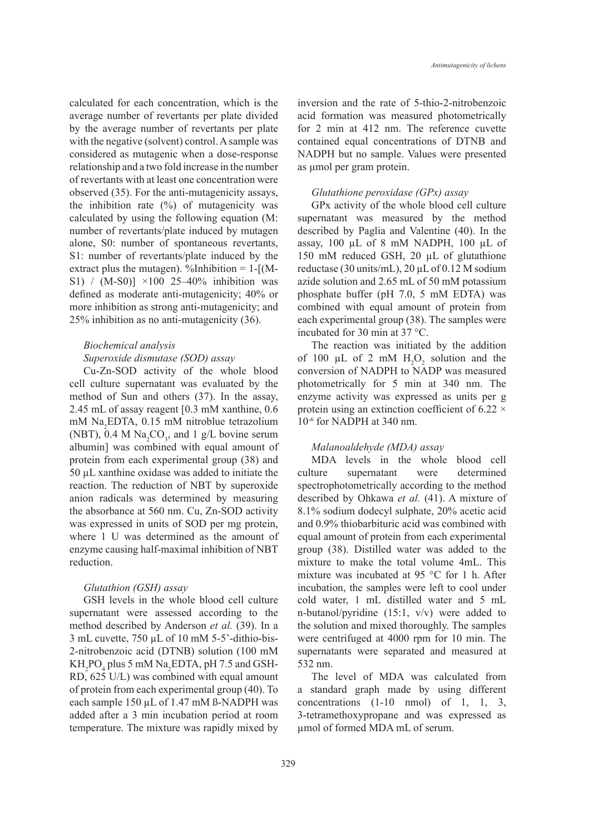calculated for each concentration, which is the average number of revertants per plate divided by the average number of revertants per plate with the negative (solvent) control. A sample was considered as mutagenic when a dose-response relationship and a two fold increase in the number of revertants with at least one concentration were observed (35). For the anti-mutagenicity assays, the inhibition rate  $(\%)$  of mutagenicity was calculated by using the following equation (M: number of revertants/plate induced by mutagen alone, S0: number of spontaneous revertants, S1: number of revertants/plate induced by the extract plus the mutagen). %Inhibition =  $1-[M-$ S1) / (M-S0)] ×100 25–40% inhibition was defined as moderate anti-mutagenicity; 40% or more inhibition as strong anti-mutagenicity; and 25% inhibition as no anti-mutagenicity (36).

#### *Biochemical analysis*

#### *Superoxide dismutase (SOD) assay*

Cu-Zn-SOD activity of the whole blood cell culture supernatant was evaluated by the method of Sun and others (37). In the assay, 2.45 mL of assay reagent [0.3 mM xanthine, 0.6 mM Na2 EDTA, 0.15 mM nitroblue tetrazolium (NBT), 0.4 M  $\text{Na}_2\text{CO}_3$ , and 1 g/L bovine serum albumin] was combined with equal amount of protein from each experimental group (38) and 50 µL xanthine oxidase was added to initiate the reaction. The reduction of NBT by superoxide anion radicals was determined by measuring the absorbance at 560 nm. Cu, Zn-SOD activity was expressed in units of SOD per mg protein, where 1 U was determined as the amount of enzyme causing half-maximal inhibition of NBT reduction.

#### *Glutathion (GSH) assay*

GSH levels in the whole blood cell culture supernatant were assessed according to the method described by Anderson *et al.* (39). In a 3 mL cuvette, 750 µL of 10 mM 5-5'-dithio-bis-2-nitrobenzoic acid (DTNB) solution (100 mM  $KH_{2}PO_{4}$  plus 5 mM Na<sub>2</sub>EDTA, pH 7.5 and GSH-RD, 625 U/L) was combined with equal amount of protein from each experimental group (40). To each sample 150 µL of 1.47 mM ß-NADPH was added after a 3 min incubation period at room temperature. The mixture was rapidly mixed by inversion and the rate of 5-thio-2-nitrobenzoic acid formation was measured photometrically for 2 min at 412 nm. The reference cuvette contained equal concentrations of DTNB and NADPH but no sample. Values were presented as umol per gram protein.

#### *Glutathione peroxidase (GPx) assay*

GPx activity of the whole blood cell culture supernatant was measured by the method described by Paglia and Valentine (40). In the assay, 100 µL of 8 mM NADPH, 100 µL of 150 mM reduced GSH, 20 µL of glutathione reductase (30 units/mL),  $20 \mu L$  of 0.12 M sodium azide solution and 2.65 mL of 50 mM potassium phosphate buffer (pH 7.0, 5 mM EDTA) was combined with equal amount of protein from each experimental group (38). The samples were incubated for 30 min at 37 °C.

The reaction was initiated by the addition of 100  $\mu$ L of 2 mM  $H_2O_2$  solution and the conversion of NADPH to NADP was measured photometrically for 5 min at 340 nm. The enzyme activity was expressed as units per g protein using an extinction coefficient of 6.22  $\times$ 10-6 for NADPH at 340 nm.

#### *Malanoaldehyde (MDA) assay*

MDA levels in the whole blood cell culture supernatant were determined spectrophotometrically according to the method described by Ohkawa *et al.* (41). A mixture of 8.1% sodium dodecyl sulphate, 20% acetic acid and 0.9% thiobarbituric acid was combined with equal amount of protein from each experimental group (38). Distilled water was added to the mixture to make the total volume 4mL. This mixture was incubated at 95 °C for 1 h. After incubation, the samples were left to cool under cold water, 1 mL distilled water and 5 mL n-butanol/pyridine (15:1, v/v) were added to the solution and mixed thoroughly. The samples were centrifuged at 4000 rpm for 10 min. The supernatants were separated and measured at 532 nm.

The level of MDA was calculated from a standard graph made by using different concentrations (1-10 nmol) of 1, 1, 3, 3-tetramethoxypropane and was expressed as µmol of formed MDA mL of serum.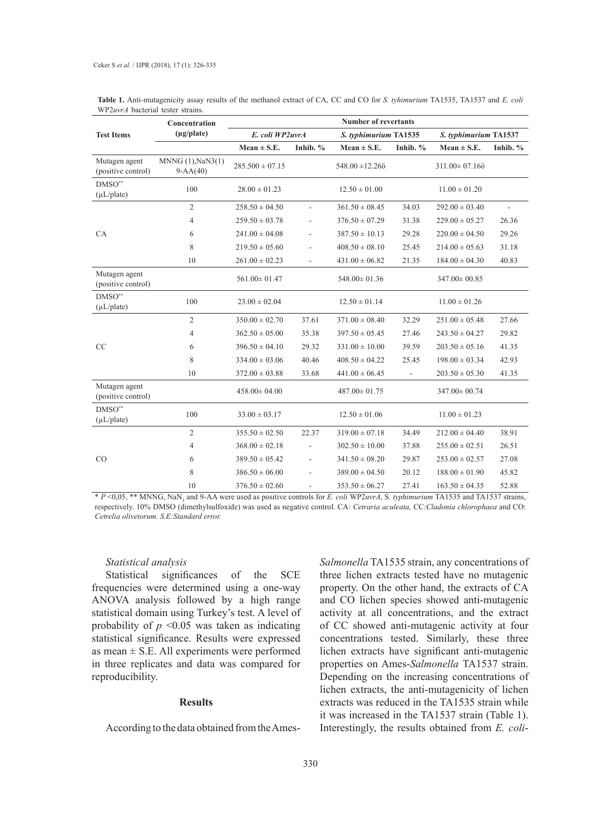|                                     | Concentration<br>$(\mu g$ /plate)     | <b>Number of revertants</b> |          |                       |                          |                       |             |  |
|-------------------------------------|---------------------------------------|-----------------------------|----------|-----------------------|--------------------------|-----------------------|-------------|--|
| <b>Test Items</b>                   |                                       | E. coli WP2uvrA             |          | S. typhimurium TA1535 |                          | S. typhimurium TA1537 |             |  |
|                                     |                                       | $Mean \pm S.E.$             | Inhib. % | $Mean \pm S.E.$       | Inhib. %                 | Mean $\pm$ S.E.       | Inhib. $\%$ |  |
| Mutagen agent<br>(positive control) | $MNNG(1),$ NaN3 $(1)$<br>$9 - AA(40)$ | $285.500 \pm 07.15$         |          | $548.00 \pm 12.260$   |                          | $311.00 \pm 07.16$ ö  |             |  |
| $DMSO^{**}$<br>$(\mu L$ /plate)     | 100                                   | $28.00 \pm 01.23$           |          | $12.50 \pm 01.00$     |                          | $11.00 \pm 01.20$     |             |  |
|                                     | $\overline{2}$                        | $258.50 \pm 04.50$          | ÷,       | $361.50 \pm 08.45$    | 34.03                    | $292.00 \pm 03.40$    |             |  |
|                                     | 4                                     | $259.50 \pm 03.78$          | L,       | $376.50 \pm 07.29$    | 31.38                    | $229.00 \pm 05.27$    | 26.36       |  |
| <b>CA</b>                           | 6                                     | $241.00 \pm 04.08$          | L,       | $387.50 \pm 10.13$    | 29.28                    | $220.00 \pm 04.50$    | 29.26       |  |
|                                     | 8                                     | $219.50 \pm 05.60$          |          | $408.50 \pm 08.10$    | 25.45                    | $214.00 \pm 05.63$    | 31.18       |  |
|                                     | 10                                    | $261.00 \pm 02.23$          | L,       | $431.00 \pm 06.82$    | 21.35                    | $184.00 \pm 04.30$    | 40.83       |  |
| Mutagen agent<br>(positive control) |                                       | $561.00 \pm 01.47$          |          | $548.00 \pm 01.36$    |                          | $347.00 \pm 00.85$    |             |  |
| $DMSO^{**}$<br>$(\mu L$ /plate)     | 100                                   | $23.00 \pm 02.04$           |          | $12.50 \pm 01.14$     |                          | $11.00 \pm 01.26$     |             |  |
| CC                                  | $\overline{2}$                        | $350.00 \pm 02.70$          | 37.61    | $371.00 \pm 08.40$    | 32.29                    | $251.00 \pm 05.48$    | 27.66       |  |
|                                     | 4                                     | $362.50 \pm 05.00$          | 35.38    | $397.50 \pm 05.45$    | 27.46                    | $243.50 \pm 04.27$    | 29.82       |  |
|                                     | 6                                     | $396.50 \pm 04.10$          | 29.32    | $331.00 \pm 10.00$    | 39.59                    | $203.50 \pm 05.16$    | 41.35       |  |
|                                     | 8                                     | $334.00 \pm 03.06$          | 40.46    | $408.50 \pm 04.22$    | 25.45                    | $198.00 \pm 03.34$    | 42.93       |  |
|                                     | 10                                    | $372.00 \pm 03.88$          | 33.68    | $441.00 \pm 06.45$    | $\overline{\phantom{a}}$ | $203.50 \pm 05.30$    | 41.35       |  |
| Mutagen agent<br>(positive control) |                                       | $458.00 \pm 04.00$          |          | $487.00 \pm 01.75$    |                          | 347.00 ± 00.74        |             |  |
| $DMSO^{**}$<br>$(\mu L$ /plate)     | 100                                   | $33.00 \pm 03.17$           |          | $12.50 \pm 01.06$     |                          | $11.00 \pm 01.23$     |             |  |
| CO                                  | $\overline{c}$                        | $355.50 \pm 02.50$          | 22.37    | $319.00 \pm 07.18$    | 34.49                    | $212.00 \pm 04.40$    | 38.91       |  |
|                                     | 4                                     | $368.00 \pm 02.18$          |          | $302.50 \pm 10.00$    | 37.88                    | $255.00 \pm 02.51$    | 26.51       |  |
|                                     | 6                                     | $389.50 \pm 05.42$          | ÷,       | $341.50 \pm 08.20$    | 29.87                    | $253.00 \pm 02.57$    | 27.08       |  |
|                                     | 8                                     | $386.50 \pm 06.00$          |          | $389.00 \pm 04.50$    | 20.12                    | $188.00 \pm 01.90$    | 45.82       |  |
|                                     | 10                                    | $376.50 \pm 02.60$          | L.       | $353.50 \pm 06.27$    | 27.41                    | $163.50 \pm 04.35$    | 52.88       |  |

**Table 1.** Anti-mutagenicity assay results of the methanol extract of CA, CC and CO for *S. tyhimurium* TA1535, TA1537 and *E. coli*  WP2*uvrA* bacterial tester strains.

\* *P* <0,05, \*\* MNNG, NaN3 and 9-AA were used as positive controls for *E. coli* WP2*uvrA*, S*. typhimurium* TA1535 and TA1537 strains, respectively. 10% DMSO (dimethylsulfoxide) was used as negative control. CA: *Cetraria aculeata,* CC:*Cladonia chlorophaea* and CO: *Cetrelia olivetorum. S.E:Standard error.*

#### *Statistical analysis*

Statistical significances of the SCE frequencies were determined using a one-way ANOVA analysis followed by a high range statistical domain using Turkey's test. A level of probability of  $p \le 0.05$  was taken as indicating statistical significance. Results were expressed as mean  $\pm$  S.E. All experiments were performed in three replicates and data was compared for reproducibility.

#### **Results**

According to the data obtained from the Ames-

*Salmonella* TA1535 strain, any concentrations of three lichen extracts tested have no mutagenic property. On the other hand, the extracts of CA and CO lichen species showed anti-mutagenic activity at all concentrations, and the extract of CC showed anti-mutagenic activity at four concentrations tested. Similarly, these three lichen extracts have significant anti-mutagenic properties on Ames-*Salmonella* TA1537 strain. Depending on the increasing concentrations of lichen extracts, the anti-mutagenicity of lichen extracts was reduced in the TA1535 strain while it was increased in the TA1537 strain (Table 1). Interestingly, the results obtained from *E. coli*-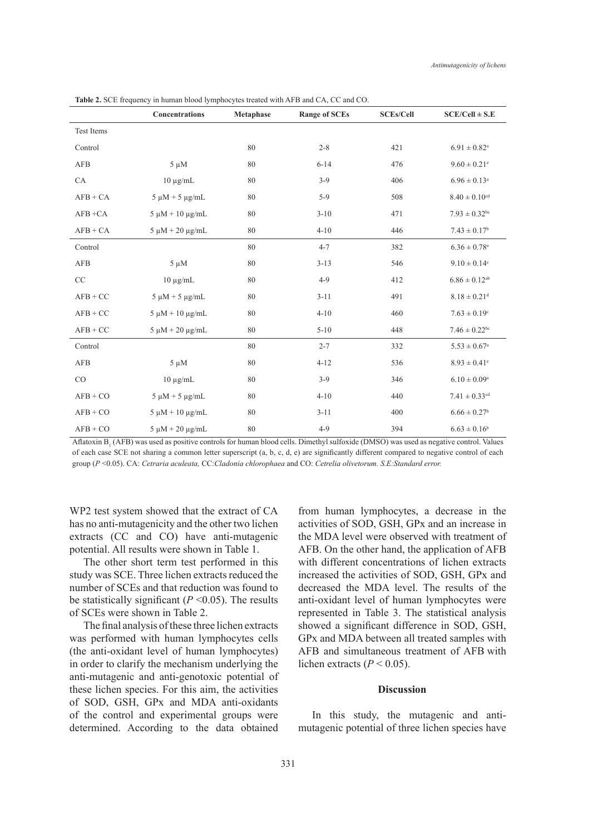|                   | Concentrations          | Metaphase | <b>Range of SCEs</b> | <b>SCEs/Cell</b> | $SCE/Cell \pm S.E$            |
|-------------------|-------------------------|-----------|----------------------|------------------|-------------------------------|
| <b>Test Items</b> |                         |           |                      |                  |                               |
| Control           |                         | 80        | $2 - 8$              | 421              | $6.91 \pm 0.82$ <sup>a</sup>  |
| <b>AFB</b>        | $5 \mu M$               | 80        | $6 - 14$             | 476              | $9.60 \pm 0.21$ <sup>e</sup>  |
| CA                | $10 \mu g/mL$           | 80        | $3-9$                | 406              | $6.96 \pm 0.13$ <sup>a</sup>  |
| $AFB + CA$        | $5 \mu M + 5 \mu g/mL$  | 80        | $5-9$                | 508              | $8.40 \pm 0.10$ <sup>cd</sup> |
| $AFB + CA$        | $5 \mu M + 10 \mu g/mL$ | 80        | $3 - 10$             | 471              | $7.93 \pm 0.32$ <sup>bc</sup> |
| $AFB + CA$        | $5 \mu M + 20 \mu g/mL$ | 80        | $4 - 10$             | 446              | $7.43 \pm 0.17^b$             |
| Control           |                         | 80        | $4 - 7$              | 382              | $6.36 \pm 0.78$ <sup>a</sup>  |
| <b>AFB</b>        | $5 \mu M$               | 80        | $3 - 13$             | 546              | $9.10 \pm 0.14$ <sup>e</sup>  |
| CC                | $10 \mu g/mL$           | 80        | $4-9$                | 412              | $6.86 \pm 0.12$ <sup>ab</sup> |
| $AFB + CC$        | $5 \mu M + 5 \mu g/mL$  | 80        | $3 - 11$             | 491              | $8.18 \pm 0.21$ <sup>d</sup>  |
| $AFB + CC$        | $5 \mu M + 10 \mu g/mL$ | 80        | $4 - 10$             | 460              | $7.63 \pm 0.19$ <sup>c</sup>  |
| $AFB + CC$        | $5 \mu M + 20 \mu g/mL$ | 80        | $5 - 10$             | 448              | $7.46 \pm 0.22$ <sup>bc</sup> |
| Control           |                         | 80        | $2 - 7$              | 332              | $5.53 \pm 0.67$ <sup>a</sup>  |
| <b>AFB</b>        | $5 \mu M$               | 80        | $4 - 12$             | 536              | $8.93 \pm 0.41$ <sup>e</sup>  |
| CO                | $10 \mu g/mL$           | 80        | $3-9$                | 346              | $6.10 \pm 0.09^{\rm a}$       |
| $AFB + CO$        | $5 \mu M + 5 \mu g/mL$  | 80        | $4 - 10$             | 440              | $7.41 \pm 0.33$ <sup>cd</sup> |
| $AFB + CO$        | $5 \mu M + 10 \mu g/mL$ | 80        | $3 - 11$             | 400              | $6.66 \pm 0.27$ <sup>b</sup>  |
| $AFB + CO$        | $5 \mu M + 20 \mu g/mL$ | 80        | $4-9$                | 394              | $6.63 \pm 0.16^b$             |

**Table 2.** SCE frequency in human blood lymphocytes treated with AFB and CA, CC and CO.

Aflatoxin  $B_1$  (AFB) was used as positive controls for human blood cells. Dimethyl sulfoxide (DMSO) was used as negative control. Values of each case SCE not sharing a common letter superscript (a, b, c, d, e) are significantly different compared to negative control of each group (*P* <0.05). CA: *Cetraria aculeata,* CC:*Cladonia chlorophaea* and CO: *Cetrelia olivetorum. S.E:Standard error.*

WP2 test system showed that the extract of CA has no anti-mutagenicity and the other two lichen extracts (CC and CO) have anti-mutagenic potential. All results were shown in Table 1.

The other short term test performed in this study was SCE. Three lichen extracts reduced the number of SCEs and that reduction was found to be statistically significant ( $P \le 0.05$ ). The results of SCEs were shown in Table 2.

The final analysis of these three lichen extracts was performed with human lymphocytes cells (the anti-oxidant level of human lymphocytes) in order to clarify the mechanism underlying the anti-mutagenic and anti-genotoxic potential of these lichen species. For this aim, the activities of SOD, GSH, GPx and MDA anti-oxidants of the control and experimental groups were determined. According to the data obtained

from human lymphocytes, a decrease in the activities of SOD, GSH, GPx and an increase in the MDA level were observed with treatment of AFB. On the other hand, the application of AFB with different concentrations of lichen extracts increased the activities of SOD, GSH, GPx and decreased the MDA level. The results of the anti-oxidant level of human lymphocytes were represented in Table 3. The statistical analysis showed a significant difference in SOD, GSH, GPx and MDA between all treated samples with AFB and simultaneous treatment of AFB with lichen extracts ( $P < 0.05$ ).

#### **Discussion**

In this study, the mutagenic and antimutagenic potential of three lichen species have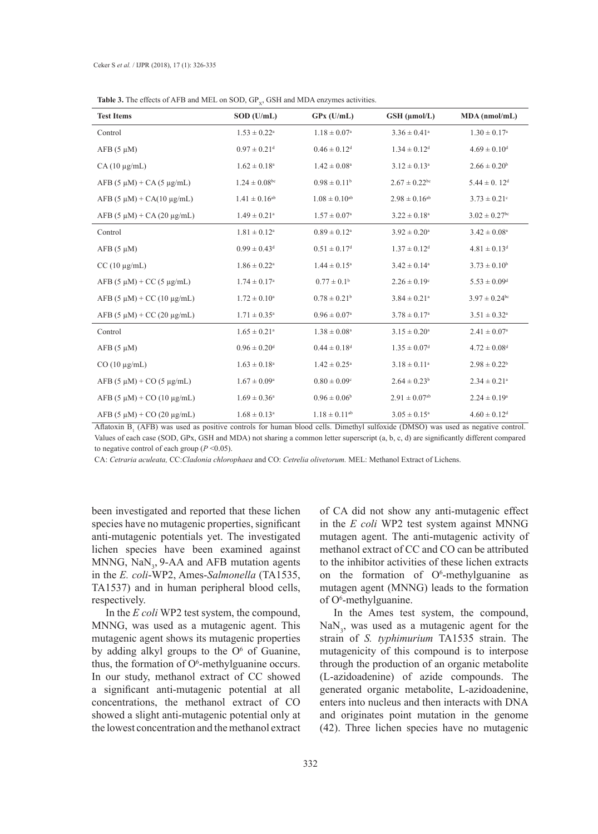| <b>Table 3.</b> The effects of AFB and MEL on SOD, $GP_x$ , GSH and MDA enzymes activities. |  |
|---------------------------------------------------------------------------------------------|--|
|---------------------------------------------------------------------------------------------|--|

| <b>Test Items</b>                     | $SOD$ (U/mL)                  | $GPx$ (U/mL)                  | GSH (µmol/L)                  | MDA (nmol/mL)                 |
|---------------------------------------|-------------------------------|-------------------------------|-------------------------------|-------------------------------|
| Control                               | $1.53 \pm 0.22^{\rm a}$       | $1.18 \pm 0.07^{\circ}$       | $3.36 \pm 0.41^a$             | $1.30 \pm 0.17^{\rm a}$       |
| $AFB (5 \mu M)$                       | $0.97 \pm 0.21$ <sup>d</sup>  | $0.46 \pm 0.12$ <sup>d</sup>  | $1.34 \pm 0.12$ <sup>d</sup>  | $4.69 \pm 0.10^d$             |
| $CA(10 \mu g/mL)$                     | $1.62 \pm 0.18$ <sup>a</sup>  | $1.42 \pm 0.08^a$             | $3.12 \pm 0.13^a$             | $2.66 \pm 0.20^b$             |
| $AFB$ (5 $\mu$ M) + CA (5 $\mu$ g/mL) | $1.24 \pm 0.08$ <sup>bc</sup> | $0.98\pm0.11^{\rm b}$         | $2.67 \pm 0.22$ <sup>bc</sup> | $5.44 \pm 0.12$ <sup>d</sup>  |
| $AFB$ (5 $\mu$ M) + CA(10 $\mu$ g/mL) | $1.41 \pm 0.16^{ab}$          | $1.08 \pm 0.10^{ab}$          | $2.98 \pm 0.16^{ab}$          | $3.73 \pm 0.21$ <sup>c</sup>  |
| $AFB (5 \mu M) + CA (20 \mu g/mL)$    | $1.49 \pm 0.21$ <sup>a</sup>  | $1.57 \pm 0.07^{\rm a}$       | $3.22 \pm 0.18$ <sup>a</sup>  | $3.02 \pm 0.27$ <sup>bc</sup> |
| Control                               | $1.81 \pm 0.12^a$             | $0.89 \pm 0.12^{\text{a}}$    | $3.92 \pm 0.20^a$             | $3.42 \pm 0.08^a$             |
| $AFB$ (5 $\mu$ M)                     | $0.99 \pm 0.43$ <sup>d</sup>  | $0.51 \pm 0.17$ <sup>d</sup>  | $1.37 \pm 0.12$ <sup>d</sup>  | $4.81 \pm 0.13$ <sup>d</sup>  |
| $CC(10 \mu g/mL)$                     | $1.86 \pm 0.22^a$             | $1.44 \pm 0.15^a$             | $3.42 \pm 0.14$ <sup>a</sup>  | $3.73 \pm 0.10^b$             |
| $AFB$ (5 $\mu$ M) + CC (5 $\mu$ g/mL) | $1.74 \pm 0.17^{\rm a}$       | $0.77 \pm 0.1^{\rm b}$        | $2.26 \pm 0.19$ <sup>c</sup>  | $5.53 \pm 0.09$ <sup>d</sup>  |
| $AFB (5 \mu M) + CC (10 \mu g/mL)$    | $1.72 \pm 0.10^a$             | $0.78 \pm 0.21$ <sup>b</sup>  | $3.84 \pm 0.21$ <sup>a</sup>  | $3.97 \pm 0.24$ <sup>bc</sup> |
| $AFB (5 \mu M) + CC (20 \mu g/mL)$    | $1.71 \pm 0.35^{\text{a}}$    | $0.96 \pm 0.07^{\rm a}$       | $3.78 \pm 0.17^{\rm a}$       | $3.51 \pm 0.32^a$             |
| Control                               | $1.65 \pm 0.21$ <sup>a</sup>  | $1.38 \pm 0.08^a$             | $3.15 \pm 0.20^a$             | $2.41 \pm 0.07$ <sup>a</sup>  |
| $AFB (5 \mu M)$                       | $0.96\pm0.20^{\rm d}$         | $0.44 \pm 0.18$ <sup>d</sup>  | $1.35 \pm 0.07$ <sup>d</sup>  | $4.72 \pm 0.08$ <sup>d</sup>  |
| $CO(10 \mu g/mL)$                     | $1.63 \pm 0.18^a$             | $1.42 \pm 0.25^{\text{a}}$    | $3.18 \pm 0.11^a$             | $2.98 \pm 0.22^b$             |
| $AFB$ (5 $\mu$ M) + CO (5 $\mu$ g/mL) | $1.67 \pm 0.09^{\rm a}$       | $0.80 \pm 0.09$ <sup>c</sup>  | $2.64 \pm 0.23^b$             | $2.34 \pm 0.21$ <sup>a</sup>  |
| $AFB (5 \mu M) + CO (10 \mu g/mL)$    | $1.69 \pm 0.36^a$             | $0.96 \pm 0.06^b$             | $2.91 \pm 0.07$ <sup>ab</sup> | $2.24 \pm 0.19^a$             |
| $AFB (5 \mu M) + CO (20 \mu g/mL)$    | $1.68 \pm 0.13^a$             | $1.18 \pm 0.11$ <sup>ab</sup> | $3.05 \pm 0.15^a$             | $4.60 \pm 0.12$ <sup>d</sup>  |

Aflatoxin  $B_1$  (AFB) was used as positive controls for human blood cells. Dimethyl sulfoxide (DMSO) was used as negative control. Values of each case (SOD, GPx, GSH and MDA) not sharing a common letter superscript (a, b, c, d) are significantly different compared to negative control of each group (*P* <0.05).

CA: *Cetraria aculeata,* CC:*Cladonia chlorophaea* and CO: *Cetrelia olivetorum.* MEL: Methanol Extract of Lichens.

been investigated and reported that these lichen species have no mutagenic properties, significant anti-mutagenic potentials yet. The investigated lichen species have been examined against MNNG,  $\text{NaN}_3$ , 9-AA and AFB mutation agents in the *E. coli*-WP2, Ames-*Salmonella* (TA1535, TA1537) and in human peripheral blood cells, respectively.

In the *E coli* WP2 test system, the compound, MNNG, was used as a mutagenic agent. This mutagenic agent shows its mutagenic properties by adding alkyl groups to the  $O<sup>6</sup>$  of Guanine, thus, the formation of  $O<sup>6</sup>$ -methylguanine occurs. In our study, methanol extract of CC showed a significant anti-mutagenic potential at all concentrations, the methanol extract of CO showed a slight anti-mutagenic potential only at the lowest concentration and the methanol extract

of CA did not show any anti-mutagenic effect in the *E coli* WP2 test system against MNNG mutagen agent. The anti-mutagenic activity of methanol extract of CC and CO can be attributed to the inhibitor activities of these lichen extracts on the formation of  $O^6$ -methylguanine as mutagen agent (MNNG) leads to the formation of O<sup>6</sup>-methylguanine.

In the Ames test system, the compound,  $\text{NaN}_3$ , was used as a mutagenic agent for the strain of *S. typhimurium* TA1535 strain. The mutagenicity of this compound is to interpose through the production of an organic metabolite (L-azidoadenine) of azide compounds. The generated organic metabolite, L-azidoadenine, enters into nucleus and then interacts with DNA and originates point mutation in the genome (42). Three lichen species have no mutagenic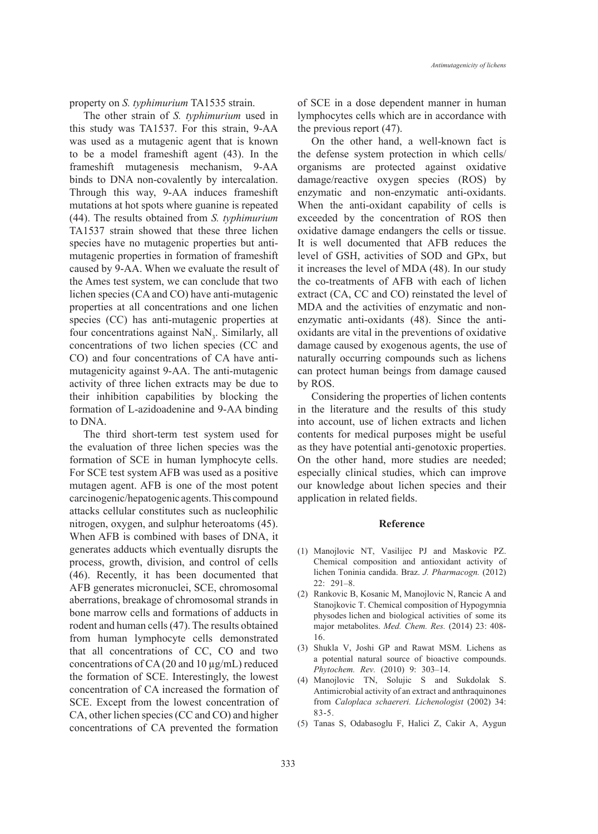*Antimutagenicity of lichens*

property on *S. typhimurium* TA1535 strain.

The other strain of *S. typhimurium* used in this study was TA1537. For this strain, 9-AA was used as a mutagenic agent that is known to be a model frameshift agent (43). In the frameshift mutagenesis mechanism, 9-AA binds to DNA non-covalently by intercalation. Through this way, 9-AA induces frameshift mutations at hot spots where guanine is repeated (44). The results obtained from *S. typhimurium*  TA1537 strain showed that these three lichen species have no mutagenic properties but antimutagenic properties in formation of frameshift caused by 9-AA. When we evaluate the result of the Ames test system, we can conclude that two lichen species (CA and CO) have anti-mutagenic properties at all concentrations and one lichen species (CC) has anti-mutagenic properties at four concentrations against  $\text{NaN}_3$ . Similarly, all concentrations of two lichen species (CC and CO) and four concentrations of CA have antimutagenicity against 9-AA. The anti-mutagenic activity of three lichen extracts may be due to their inhibition capabilities by blocking the formation of L-azidoadenine and 9-AA binding to DNA.

The third short-term test system used for the evaluation of three lichen species was the formation of SCE in human lymphocyte cells. For SCE test system AFB was used as a positive mutagen agent. AFB is one of the most potent carcinogenic/hepatogenic agents. This compound attacks cellular constitutes such as nucleophilic nitrogen, oxygen, and sulphur heteroatoms (45). When AFB is combined with bases of DNA, it generates adducts which eventually disrupts the process, growth, division, and control of cells (46). Recently, it has been documented that AFB generates micronuclei, SCE, chromosomal aberrations, breakage of chromosomal strands in bone marrow cells and formations of adducts in rodent and human cells (47). The results obtained from human lymphocyte cells demonstrated that all concentrations of CC, CO and two concentrations of CA (20 and 10 µg/mL) reduced the formation of SCE. Interestingly, the lowest concentration of CA increased the formation of SCE. Except from the lowest concentration of CA, other lichen species (CC and CO) and higher concentrations of CA prevented the formation of SCE in a dose dependent manner in human lymphocytes cells which are in accordance with the previous report (47).

On the other hand, a well-known fact is the defense system protection in which cells/ organisms are protected against oxidative damage/reactive oxygen species (ROS) by enzymatic and non-enzymatic anti-oxidants. When the anti-oxidant capability of cells is exceeded by the concentration of ROS then oxidative damage endangers the cells or tissue. It is well documented that AFB reduces the level of GSH, activities of SOD and GPx, but it increases the level of MDA (48). In our study the co-treatments of AFB with each of lichen extract (CA, CC and CO) reinstated the level of MDA and the activities of enzymatic and nonenzymatic anti-oxidants (48). Since the antioxidants are vital in the preventions of oxidative damage caused by exogenous agents, the use of naturally occurring compounds such as lichens can protect human beings from damage caused by ROS.

Considering the properties of lichen contents in the literature and the results of this study into account, use of lichen extracts and lichen contents for medical purposes might be useful as they have potential anti-genotoxic properties. On the other hand, more studies are needed; especially clinical studies, which can improve our knowledge about lichen species and their application in related fields.

#### **Reference**

- Manojlovic NT, Vasilijec PJ and Maskovic PZ. (1) Chemical composition and antioxidant activity of lichen Toninia candida. Braz. *J. Pharmacogn.* (2012) 22: 291–8.
- (2) Rankovic B, Kosanic M, Manojlovic N, Rancic A and Stanojkovic T. Chemical composition of Hypogymnia physodes lichen and biological activities of some its major metabolites. *Med. Chem. Res.* (2014) 23: 408- 16.
- (3) Shukla V, Joshi GP and Rawat MSM. Lichens as a potential natural source of bioactive compounds. *Phytochem. Rev.* (2010) 9: 303–14.
- Manojlovic TN, Solujic S and Sukdolak S. (4) Antimicrobial activity of an extract and anthraquinones from *Caloplaca schaereri. Lichenologist* (2002) 34: 83-5.
- Tanas S, Odabasoglu F, Halici Z, Cakir A, Aygun (5)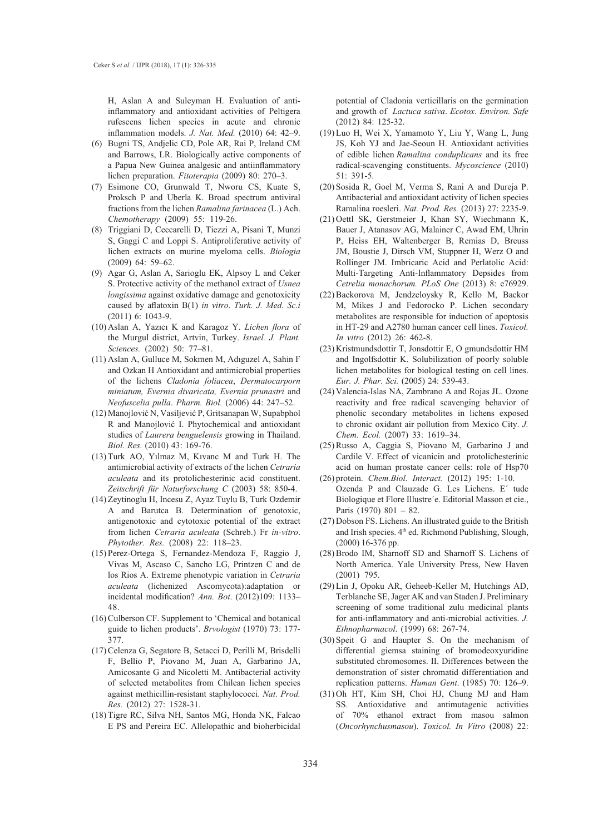H, Aslan A and Suleyman H. Evaluation of antiinflammatory and antioxidant activities of Peltigera rufescens lichen species in acute and chronic inflammation models. *J. Nat. Med.* (2010) 64: 42–9.

- (6) Bugni TS, Andjelic CD, Pole AR, Rai P, Ireland CM and Barrows, LR. Biologically active components of a Papua New Guinea analgesic and antiinflammatory lichen preparation. *Fitoterapia* (2009) 80: 270–3.
- Esimone CO, Grunwald T, Nworu CS, Kuate S, (7) Proksch P and Uberla K. Broad spectrum antiviral fractions from the lichen *Ramalina farinacea* (L.) Ach. *Chemotherapy* (2009) 55: 119-26.
- (8) Triggiani D, Ceccarelli D, Tiezzi A, Pisani T, Munzi S, Gaggi C and Loppi S. Antiproliferative activity of lichen extracts on murine myeloma cells. *Biologia* (2009) 64: 59–62.
- (9) Agar G, Aslan A, Sarioglu EK, Alpsoy L and Ceker S. Protective activity of the methanol extract of *Usnea longissima* against oxidative damage and genotoxicity caused by aflatoxin B(1) *in vitro*. *Turk. J. Med. Sc.i*  (2011) 6: 1043-9.
- (10) Aslan A, Yazıcı K and Karagoz Y. *Lichen flora* of the Murgul district, Artvin, Turkey. *Israel. J. Plant. Sciences.* (2002) 50: 77–81.
- (11) Aslan A, Gulluce M, Sokmen M, Adıguzel A, Sahin F and Ozkan H Antioxidant and antimicrobial properties of the lichens *Cladonia foliacea*, *Dermatocarporn miniatum, Evernia divaricata, Evernia prunastri* and *Neofuscelia pulla*. *Pharm. Biol.* (2006) 44: 247–52.
- (12) Manojlović N, Vasiljević P, Gritsanapan W, Supabphol R and Manojlović I. Phytochemical and antioxidant studies of *Laurera benguelensis* growing in Thailand. *Biol. Res.* (2010) 43: 169-76.
- $(13)$  Turk AO, Yılmaz M, Kıvanc M and Turk H. The antimicrobial activity of extracts of the lichen *Cetraria aculeata* and its protolichesterinic acid constituent. *Zeitschrift für Naturforschung C* (2003) 58: 850-4.
- (14) Zeytinoglu H, Incesu Z, Ayaz Tuylu B, Turk Ozdemir A and Barutca B. Determination of genotoxic, antigenotoxic and cytotoxic potential of the extract from lichen *Cetraria aculeata* (Schreb.) Fr *in-vitro*. *Phytother. Res.* (2008) 22: 118–23.
- (15) Perez-Ortega S, Fernandez-Mendoza F, Raggio J, Vivas M, Ascaso C, Sancho LG, Printzen C and de los Rios A. Extreme phenotypic variation in *Cetraria aculeata* (lichenized Ascomycota):adaptation or incidental modification? *Ann. Bot*. (2012)109: 1133– 48.
- (16) Culberson CF. Supplement to 'Chemical and botanical guide to lichen products'. *Brvologist* (1970) 73: 177- 377.
- (17) Celenza G, Segatore B, Setacci D, Perilli M, Brisdelli F, Bellio P, Piovano M, Juan A, Garbarino JA, Amicosante G and Nicoletti M. Antibacterial activity of selected metabolites from Chilean lichen species against methicillin-resistant staphylococci. *Nat. Prod. Res.* (2012) 27: 1528-31.
- (18) Tigre RC, Silva NH, Santos MG, Honda NK, Falcao E PS and Pereira EC. Allelopathic and bioherbicidal

potential of Cladonia verticillaris on the germination and growth of *Lactuca sativa*. *Ecotox*. *Environ. Safe* (2012) 84: 125-32.

- (19) Luo H, Wei X, Yamamoto Y, Liu Y, Wang L, Jung JS, Koh YJ and Jae-Seoun H. Antioxidant activities of edible lichen *Ramalina conduplicans* and its free radical-scavenging constituents. *Mycoscience* (2010)  $51 \cdot 391 - 5$
- (20) Sosida R, Goel M, Verma S, Rani A and Dureja P. Antibacterial and antioxidant activity of lichen species Ramalina roesleri. *Nat. Prod. Res.* (2013) 27: 2235-9.
- (21) Oettl SK, Gerstmeier J, Khan SY, Wiechmann K, Bauer J, Atanasov AG, Malainer C, Awad EM, Uhrin P, Heiss EH, Waltenberger B, Remias D, Breuss JM, Boustie J, Dirsch VM, Stuppner H, Werz O and Rollinger JM. Imbricaric Acid and Perlatolic Acid: Multi-Targeting Anti-Inflammatory Depsides from *Cetrelia monachorum. PLoS One* (2013) 8: e76929.
- (22) Backorova M, Jendzeloysky R, Kello M, Backor M, Mikes J and Fedorocko P. Lichen secondary metabolites are responsible for induction of apoptosis in HT-29 and A2780 human cancer cell lines. *Toxicol. In vitro* (2012) 26: 462-8.
- (23) Kristmundsdottir T, Jonsdottir E, O gmundsdottir HM and Ingolfsdottir K. Solubilization of poorly soluble lichen metabolites for biological testing on cell lines. *Eur. J. Phar. Sci.* (2005) 24: 539-43.
- (24) Valencia-Islas NA, Zambrano A and Rojas JL. Ozone reactivity and free radical scavenging behavior of phenolic secondary metabolites in lichens exposed to chronic oxidant air pollution from Mexico City. *J. Chem. Ecol.* (2007) 33: 1619–34.
- (25) Russo A, Caggia S, Piovano M, Garbarino J and Cardile V. Effect of vicanicin and protolichesterinic acid on human prostate cancer cells: role of Hsp70
- (26) protein. *Chem.Biol. Interact.* (2012) 195: 1-10. Ozenda P and Clauzade G. Les Lichens. E´ tude Biologique et Flore Illustre´e. Editorial Masson et cie., Paris (1970) 801 – 82.
- (27) Dobson FS. Lichens. An illustrated guide to the British and Irish species. 4<sup>th</sup> ed. Richmond Publishing, Slough, (2000) 16-376 pp.
- (28) Brodo IM, Sharnoff SD and Sharnoff S. Lichens of North America. Yale University Press, New Haven (2001) 795.
- (29) Lin J, Opoku AR, Geheeb-Keller M, Hutchings AD, Terblanche SE, Jager AK and van Staden J. Preliminary screening of some traditional zulu medicinal plants for anti-inflammatory and anti-microbial activities. *J. Ethnopharmacol*. (1999) 68: 267-74.
- $(30)$  Speit G and Haupter S. On the mechanism of differential giemsa staining of bromodeoxyuridine substituted chromosomes. II. Differences between the demonstration of sister chromatid differentiation and replication patterns. *Human Gent*. (1985) 70: 126–9.
- (31) Oh HT, Kim SH, Choi HJ, Chung MJ and Ham SS. Antioxidative and antimutagenic activities of 70% ethanol extract from masou salmon (*Oncorhynchusmasou*). *Toxicol. In Vitro* (2008) 22: